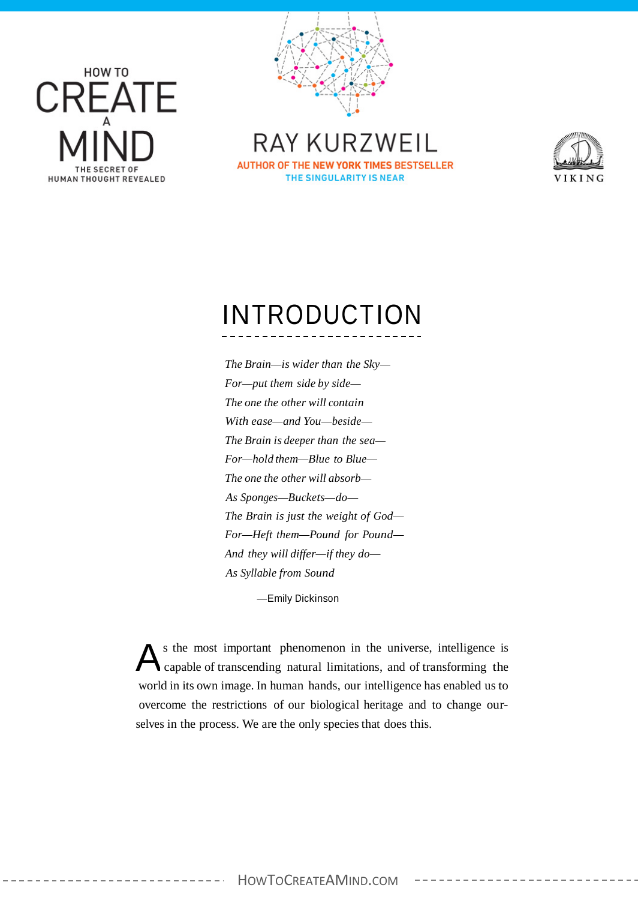



RAY KURZWEIL AUTHOR OF THE NEW YORK TIMES BESTSELLER THE SINGULARITY IS NEAR



# INTRODUCTION

*The Brain—is wider than the Sky— For—put them side by side— The one the other will contain With ease—and You—beside— The Brain is deeper than the sea— For—hold them—Blue to Blue— The one the other will absorb— As Sponges—Buckets—do— The Brain is just the weight of God— For—Heft them—Pound for Pound— And they will differ—if they do— As Syllable from Sound*

—Emily Dickinson

A s the most important phenomenon in the universe, intelligence is capable of transcending natural limitations, and of transforming the world in its own image. In human hands, our intelligence has enabled us to overcome the restrictions of our biological heritage and to change ourselves in the process. We are the only species that does this.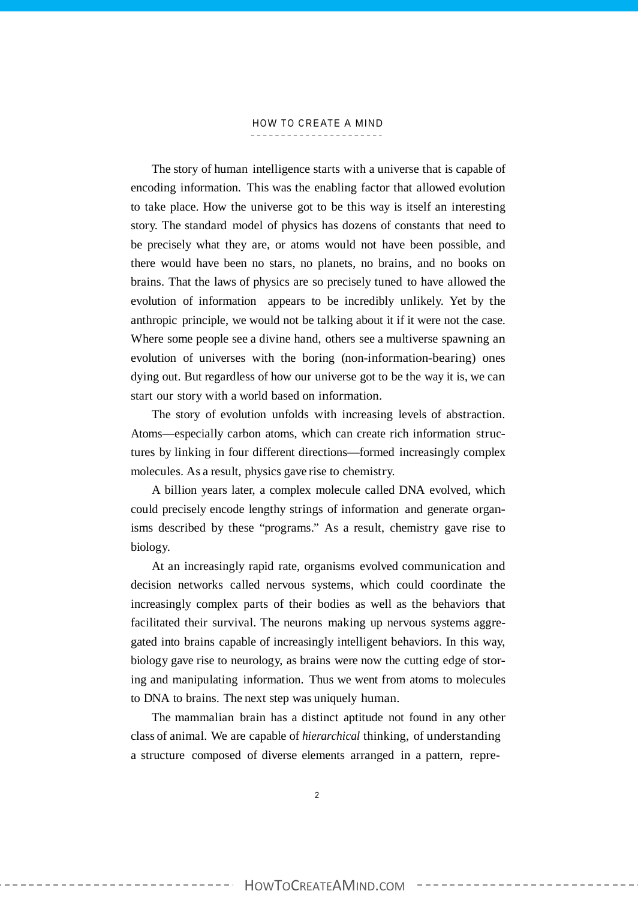The story of human intelligence starts with a universe that is capable of encoding information. This was the enabling factor that allowed evolution to take place. How the universe got to be this way is itself an interesting story. The standard model of physics has dozens of constants that need to be precisely what they are, or atoms would not have been possible, and there would have been no stars, no planets, no brains, and no books on brains. That the laws of physics are so precisely tuned to have allowed the evolution of information appears to be incredibly unlikely. Yet by the anthropic principle, we would not be talking about it if it were not the case. Where some people see a divine hand, others see a multiverse spawning an evolution of universes with the boring (non-information-bearing) ones dying out. But regardless of how our universe got to be the way it is, we can start our story with a world based on information.

The story of evolution unfolds with increasing levels of abstraction. Atoms—especially carbon atoms, which can create rich information structures by linking in four different directions—formed increasingly complex molecules. As a result, physics gave rise to chemistry.

A billion years later, a complex molecule called DNA evolved, which could precisely encode lengthy strings of information and generate organisms described by these "programs." As a result, chemistry gave rise to biology.

At an increasingly rapid rate, organisms evolved communication and decision networks called nervous systems, which could coordinate the increasingly complex parts of their bodies as well as the behaviors that facilitated their survival. The neurons making up nervous systems aggregated into brains capable of increasingly intelligent behaviors. In this way, biology gave rise to neurology, as brains were now the cutting edge of storing and manipulating information. Thus we went from atoms to molecules to DNA to brains. The next step was uniquely human.

The mammalian brain has a distinct aptitude not found in any other class of animal. We are capable of *hierarchical* thinking, of understanding a structure composed of diverse elements arranged in a pattern, repre-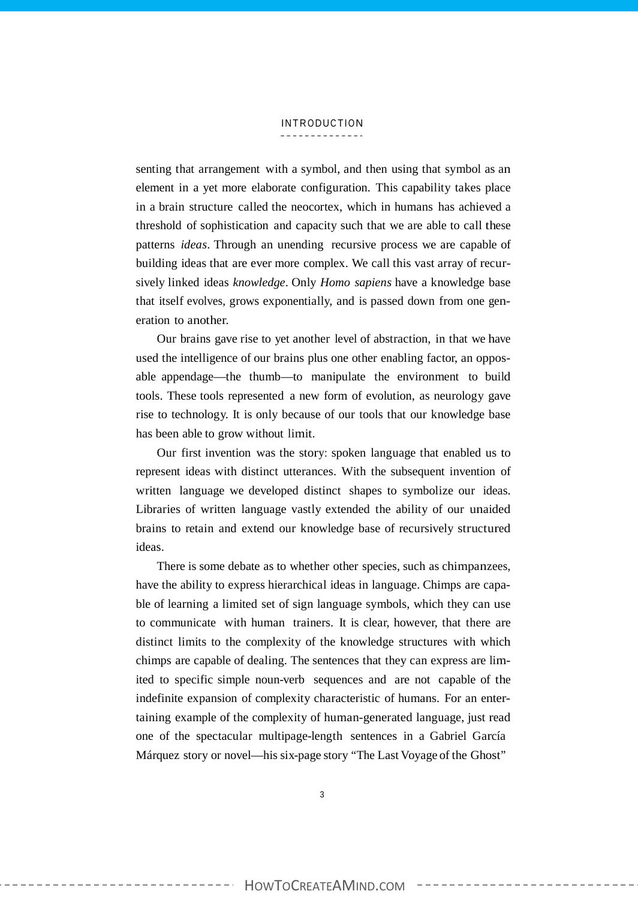senting that arrangement with a symbol, and then using that symbol as an element in a yet more elaborate configuration. This capability takes place in a brain structure called the neocortex, which in humans has achieved a threshold of sophistication and capacity such that we are able to call these patterns *ideas*. Through an unending recursive process we are capable of building ideas that are ever more complex. We call this vast array of recursively linked ideas *knowledge*. Only *Homo sapiens* have a knowledge base that itself evolves, grows exponentially, and is passed down from one generation to another.

Our brains gave rise to yet another level of abstraction, in that we have used the intelligence of our brains plus one other enabling factor, an opposable appendage—the thumb—to manipulate the environment to build tools. These tools represented a new form of evolution, as neurology gave rise to technology. It is only because of our tools that our knowledge base has been able to grow without limit.

Our first invention was the story: spoken language that enabled us to represent ideas with distinct utterances. With the subsequent invention of written language we developed distinct shapes to symbolize our ideas. Libraries of written language vastly extended the ability of our unaided brains to retain and extend our knowledge base of recursively structured ideas.

There is some debate as to whether other species, such as chimpanzees, have the ability to express hierarchical ideas in language. Chimps are capable of learning a limited set of sign language symbols, which they can use to communicate with human trainers. It is clear, however, that there are distinct limits to the complexity of the knowledge structures with which chimps are capable of dealing. The sentences that they can express are limited to specific simple noun-verb sequences and are not capable of the indefinite expansion of complexity characteristic of humans. For an entertaining example of the complexity of human-generated language, just read one of the spectacular multipage-length sentences in a Gabriel García Márquez story or novel—his six-page story "The Last Voyage of the Ghost"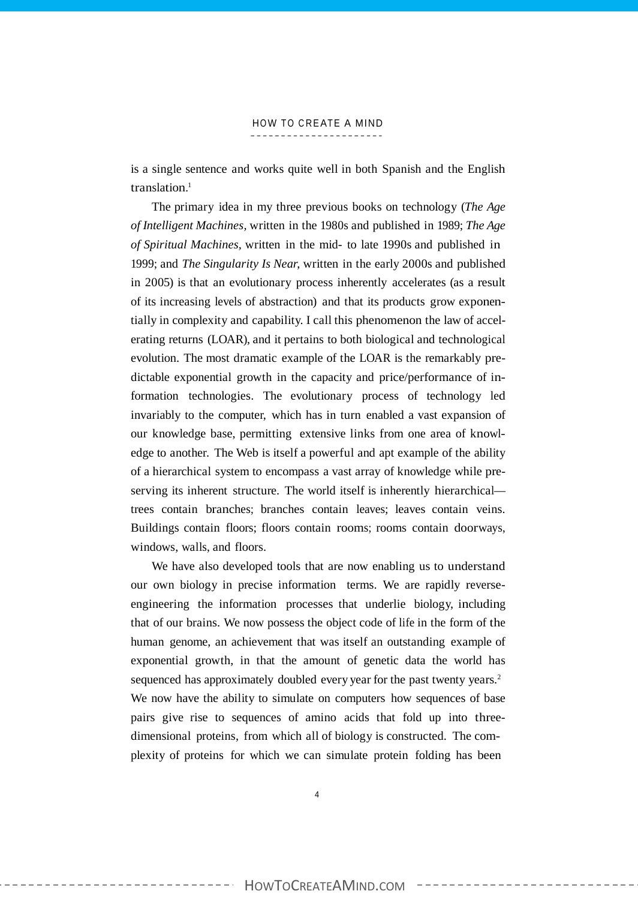is a single sentence and works quite well in both Spanish and the English translation. 1

The primary idea in my three previous books on technology (*The Age of Intelligent Machines,* written in the 1980s and published in 1989; *The Age of Spiritual Machines,* written in the mid- to late 1990s and published in 1999; and *The Singularity Is Near*, written in the early 2000s and published in 2005) is that an evolutionary process inherently accelerates (as a result of its increasing levels of abstraction) and that its products grow exponentially in complexity and capability. I call this phenomenon the law of accelerating returns (LOAR), and it pertains to both biological and technological evolution. The most dramatic example of the LOAR is the remarkably predictable exponential growth in the capacity and price/performance of information technologies. The evolutionary process of technology led invariably to the computer, which has in turn enabled a vast expansion of our knowledge base, permitting extensive links from one area of knowledge to another. The Web is itself a powerful and apt example of the ability of a hierarchical system to encompass a vast array of knowledge while preserving its inherent structure. The world itself is inherently hierarchical trees contain branches; branches contain leaves; leaves contain veins. Buildings contain floors; floors contain rooms; rooms contain doorways, windows, walls, and floors.

We have also developed tools that are now enabling us to understand our own biology in precise information terms. We are rapidly reverseengineering the information processes that underlie biology, including that of our brains. We now possess the object code of life in the form of the human genome, an achievement that was itself an outstanding example of exponential growth, in that the amount of genetic data the world has sequenced has approximately doubled every year for the past twenty years.<sup>2</sup> We now have the ability to simulate on computers how sequences of base pairs give rise to sequences of amino acids that fold up into threedimensional proteins, from which all of biology is constructed. The complexity of proteins for which we can simulate protein folding has been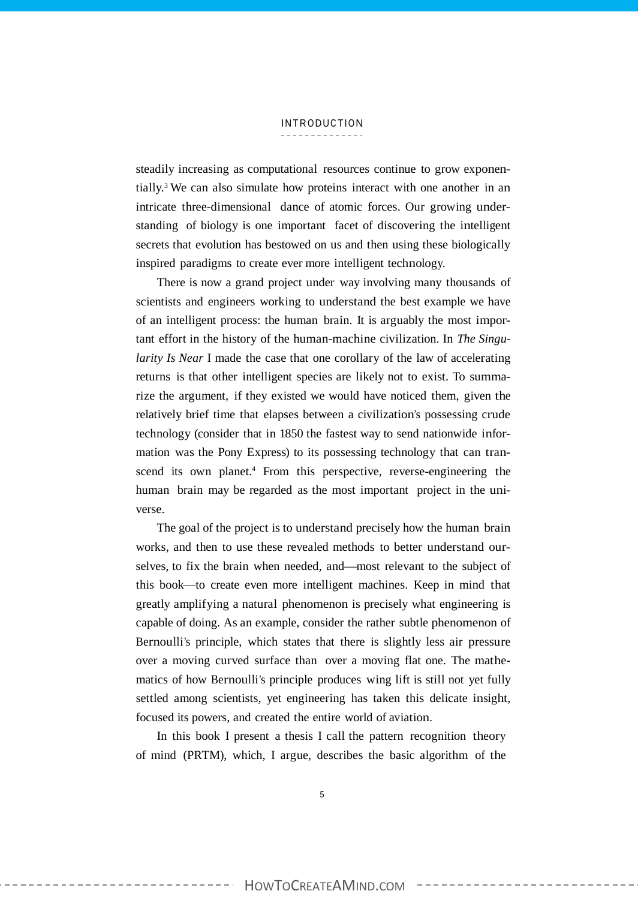steadily increasing as computational resources continue to grow exponentially. <sup>3</sup> We can also simulate how proteins interact with one another in an intricate three-dimensional dance of atomic forces. Our growing understanding of biology is one important facet of discovering the intelligent secrets that evolution has bestowed on us and then using these biologically inspired paradigms to create ever more intelligent technology.

There is now a grand project under way involving many thousands of scientists and engineers working to understand the best example we have of an intelligent process: the human brain. It is arguably the most important effort in the history of the human-machine civilization. In *The Singularity Is Near* I made the case that one corollary of the law of accelerating returns is that other intelligent species are likely not to exist. To summarize the argument, if they existed we would have noticed them, given the relatively brief time that elapses between a civilization's possessing crude technology (consider that in 1850 the fastest way to send nationwide information was the Pony Express) to its possessing technology that can transcend its own planet. 4 From this perspective, reverse-engineering the human brain may be regarded as the most important project in the universe.

The goal of the project is to understand precisely how the human brain works, and then to use these revealed methods to better understand ourselves, to fix the brain when needed, and—most relevant to the subject of this book—to create even more intelligent machines. Keep in mind that greatly amplifying a natural phenomenon is precisely what engineering is capable of doing. As an example, consider the rather subtle phenomenon of Bernoulli's principle, which states that there is slightly less air pressure over a moving curved surface than over a moving flat one. The mathematics of how Bernoulli's principle produces wing lift is still not yet fully settled among scientists, yet engineering has taken this delicate insight, focused its powers, and created the entire world of aviation.

In this book I present a thesis I call the pattern recognition theory of mind (PRTM), which, I argue, describes the basic algorithm of the

5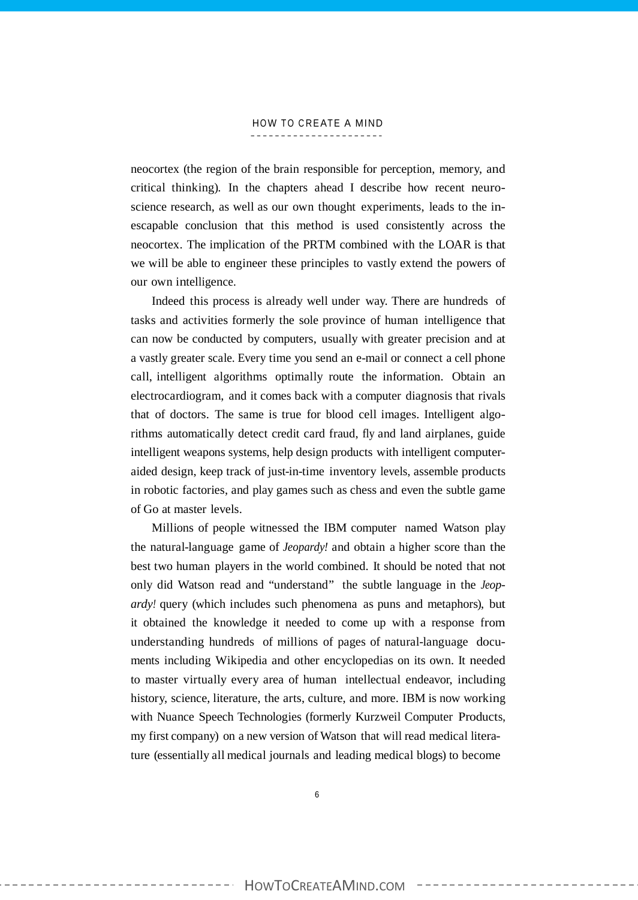neocortex (the region of the brain responsible for perception, memory, and critical thinking). In the chapters ahead I describe how recent neuroscience research, as well as our own thought experiments, leads to the inescapable conclusion that this method is used consistently across the neocortex. The implication of the PRTM combined with the LOAR is that we will be able to engineer these principles to vastly extend the powers of our own intelligence.

Indeed this process is already well under way. There are hundreds of tasks and activities formerly the sole province of human intelligence that can now be conducted by computers, usually with greater precision and at a vastly greater scale. Every time you send an e-mail or connect a cell phone call, intelligent algorithms optimally route the information. Obtain an electrocardiogram, and it comes back with a computer diagnosis that rivals that of doctors. The same is true for blood cell images. Intelligent algorithms automatically detect credit card fraud, fly and land airplanes, guide intelligent weapons systems, help design products with intelligent computeraided design, keep track of just-in-time inventory levels, assemble products in robotic factories, and play games such as chess and even the subtle game of Go at master levels.

Millions of people witnessed the IBM computer named Watson play the natural-language game of *Jeopardy!* and obtain a higher score than the best two human players in the world combined. It should be noted that not only did Watson read and "understand" the subtle language in the *Jeopardy!* query (which includes such phenomena as puns and metaphors), but it obtained the knowledge it needed to come up with a response from understanding hundreds of millions of pages of natural-language documents including Wikipedia and other encyclopedias on its own. It needed to master virtually every area of human intellectual endeavor, including history, science, literature, the arts, culture, and more. IBM is now working with Nuance Speech Technologies (formerly Kurzweil Computer Products, my first company) on a new version of Watson that will read medical literature (essentially all medical journals and leading medical blogs) to become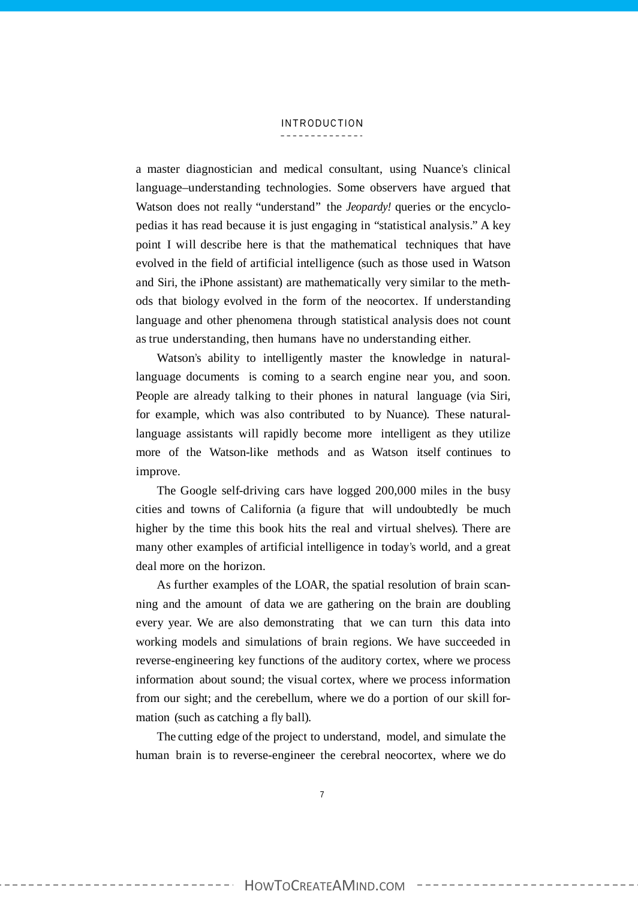a master diagnostician and medical consultant, using Nuance's clinical language–understanding technologies. Some observers have argued that Watson does not really "understand" the *Jeopardy!* queries or the encyclopedias it has read because it is just engaging in "statistical analysis." A key point I will describe here is that the mathematical techniques that have evolved in the field of artificial intelligence (such as those used in Watson and Siri, the iPhone assistant) are mathematically very similar to the methods that biology evolved in the form of the neocortex. If understanding language and other phenomena through statistical analysis does not count as true understanding, then humans have no understanding either.

Watson's ability to intelligently master the knowledge in naturallanguage documents is coming to a search engine near you, and soon. People are already talking to their phones in natural language (via Siri, for example, which was also contributed to by Nuance). These naturallanguage assistants will rapidly become more intelligent as they utilize more of the Watson-like methods and as Watson itself continues to improve.

The Google self-driving cars have logged 200,000 miles in the busy cities and towns of California (a figure that will undoubtedly be much higher by the time this book hits the real and virtual shelves). There are many other examples of artificial intelligence in today's world, and a great deal more on the horizon.

As further examples of the LOAR, the spatial resolution of brain scanning and the amount of data we are gathering on the brain are doubling every year. We are also demonstrating that we can turn this data into working models and simulations of brain regions. We have succeeded in reverse-engineering key functions of the auditory cortex, where we process information about sound; the visual cortex, where we process information from our sight; and the cerebellum, where we do a portion of our skill formation (such as catching a fly ball).

The cutting edge of the project to understand, model, and simulate the human brain is to reverse-engineer the cerebral neocortex, where we do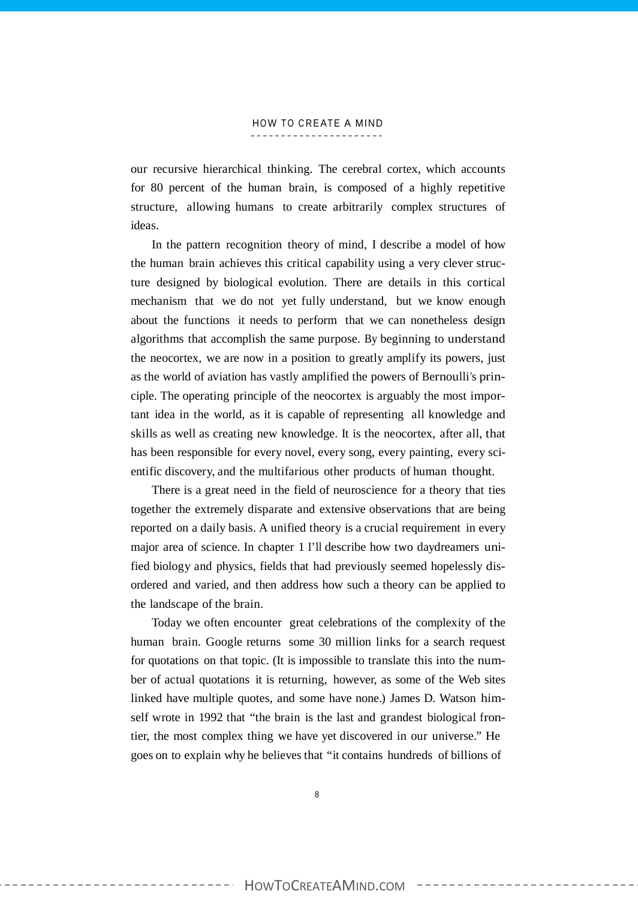our recursive hierarchical thinking. The cerebral cortex, which accounts for 80 percent of the human brain, is composed of a highly repetitive structure, allowing humans to create arbitrarily complex structures of ideas.

In the pattern recognition theory of mind, I describe a model of how the human brain achieves this critical capability using a very clever structure designed by biological evolution. There are details in this cortical mechanism that we do not yet fully understand, but we know enough about the functions it needs to perform that we can nonetheless design algorithms that accomplish the same purpose. By beginning to understand the neocortex, we are now in a position to greatly amplify its powers, just as the world of aviation has vastly amplified the powers of Bernoulli's principle. The operating principle of the neocortex is arguably the most important idea in the world, as it is capable of representing all knowledge and skills as well as creating new knowledge. It is the neocortex, after all, that has been responsible for every novel, every song, every painting, every scientific discovery, and the multifarious other products of human thought.

There is a great need in the field of neuroscience for a theory that ties together the extremely disparate and extensive observations that are being reported on a daily basis. A unified theory is a crucial requirement in every major area of science. In chapter 1 I'll describe how two daydreamers unified biology and physics, fields that had previously seemed hopelessly disordered and varied, and then address how such a theory can be applied to the landscape of the brain.

Today we often encounter great celebrations of the complexity of the human brain. Google returns some 30 million links for a search request for quotations on that topic. (It is impossible to translate this into the number of actual quotations it is returning, however, as some of the Web sites linked have multiple quotes, and some have none.) James D. Watson himself wrote in 1992 that "the brain is the last and grandest biological frontier, the most complex thing we have yet discovered in our universe." He goes on to explain why he believes that "it contains hundreds of billions of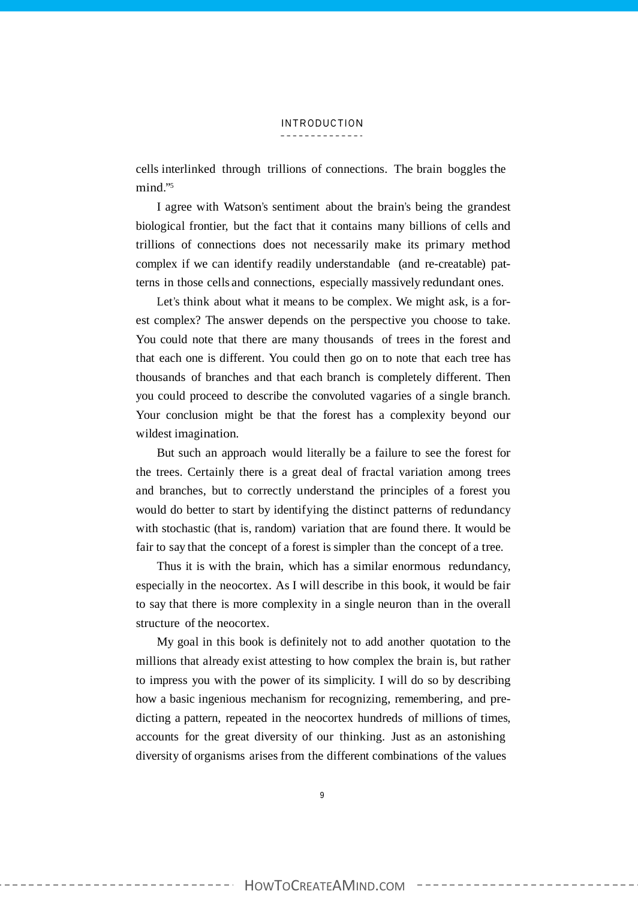cells interlinked through trillions of connections. The brain boggles the mind."<sup>5</sup>

I agree with Watson's sentiment about the brain's being the grandest biological frontier, but the fact that it contains many billions of cells and trillions of connections does not necessarily make its primary method complex if we can identify readily understandable (and re-creatable) patterns in those cells and connections, especially massively redundant ones.

Let's think about what it means to be complex. We might ask, is a forest complex? The answer depends on the perspective you choose to take. You could note that there are many thousands of trees in the forest and that each one is different. You could then go on to note that each tree has thousands of branches and that each branch is completely different. Then you could proceed to describe the convoluted vagaries of a single branch. Your conclusion might be that the forest has a complexity beyond our wildest imagination.

But such an approach would literally be a failure to see the forest for the trees. Certainly there is a great deal of fractal variation among trees and branches, but to correctly understand the principles of a forest you would do better to start by identifying the distinct patterns of redundancy with stochastic (that is, random) variation that are found there. It would be fair to say that the concept of a forest is simpler than the concept of a tree.

Thus it is with the brain, which has a similar enormous redundancy, especially in the neocortex. As I will describe in this book, it would be fair to say that there is more complexity in a single neuron than in the overall structure of the neocortex.

My goal in this book is definitely not to add another quotation to the millions that already exist attesting to how complex the brain is, but rather to impress you with the power of its simplicity. I will do so by describing how a basic ingenious mechanism for recognizing, remembering, and predicting a pattern, repeated in the neocortex hundreds of millions of times, accounts for the great diversity of our thinking. Just as an astonishing diversity of organisms arises from the different combinations of the values

9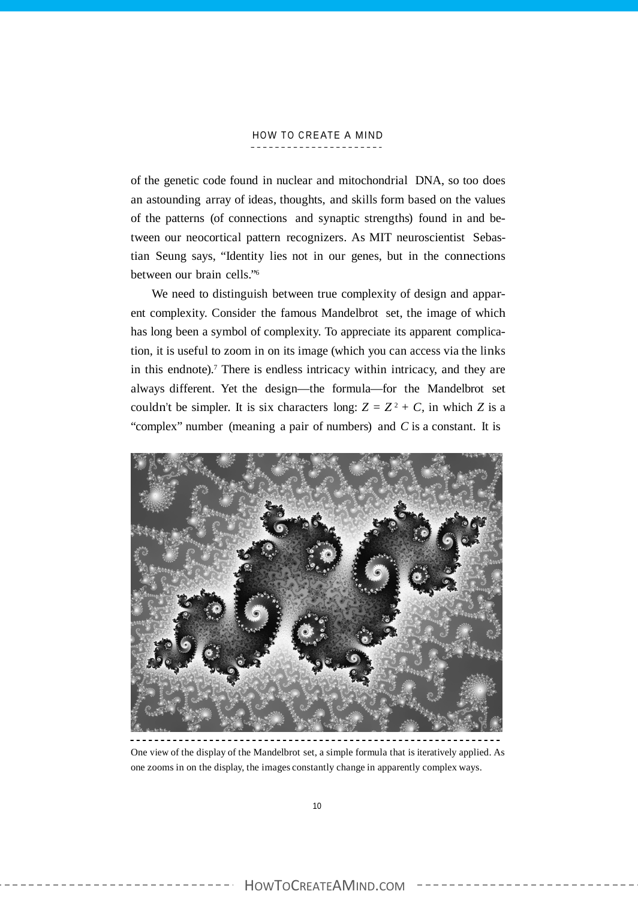of the genetic code found in nuclear and mitochondrial DNA, so too does an astounding array of ideas, thoughts, and skills form based on the values of the patterns (of connections and synaptic strengths) found in and between our neocortical pattern recognizers. As MIT neuroscientist Sebastian Seung says, "Identity lies not in our genes, but in the connections between our brain cells."6

We need to distinguish between true complexity of design and apparent complexity. Consider the famous Mandelbrot set, the image of which has long been a symbol of complexity. To appreciate its apparent complication, it is useful to zoom in on its image (which you can access via the links in this endnote). 7 There is endless intricacy within intricacy, and they are always different. Yet the design—the formula—for the Mandelbrot set couldn't be simpler. It is six characters long:  $Z = Z^2 + C$ , in which *Z* is a "complex" number (meaning a pair of numbers) and *C* is a constant. It is



One view of the display of the Mandelbrot set, a simple formula that is iteratively applied. As one zooms in on the display, the images constantly change in apparently complex ways.